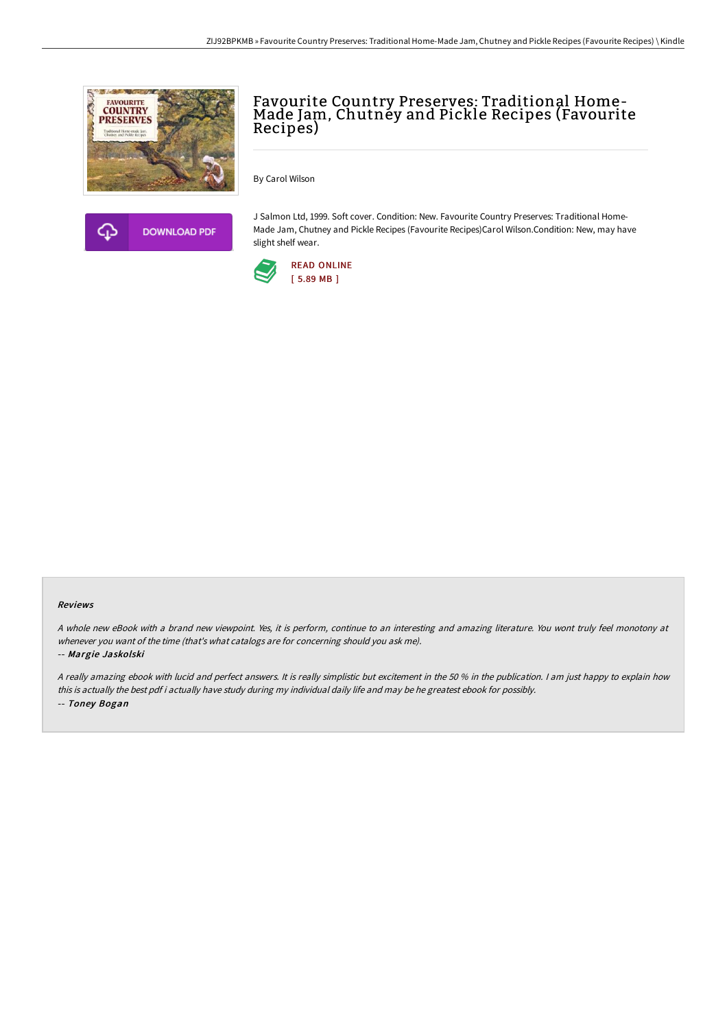



Favourite Country Preserves: Traditional Home-<br>Made Jam, Chutney and Pickle Recipes (Favourite Recipes)

By Carol Wilson

J Salmon Ltd, 1999. Soft cover. Condition: New. Favourite Country Preserves: Traditional Home-Made Jam, Chutney and Pickle Recipes (Favourite Recipes)Carol Wilson.Condition: New, may have slight shelf wear.



#### Reviews

<sup>A</sup> whole new eBook with <sup>a</sup> brand new viewpoint. Yes, it is perform, continue to an interesting and amazing literature. You wont truly feel monotony at whenever you want of the time (that's what catalogs are for concerning should you ask me).

#### -- Margie Jaskolski

<sup>A</sup> really amazing ebook with lucid and perfect answers. It is really simplistic but excitement in the <sup>50</sup> % in the publication. <sup>I</sup> am just happy to explain how this is actually the best pdf i actually have study during my individual daily life and may be he greatest ebook for possibly. -- Toney Bogan